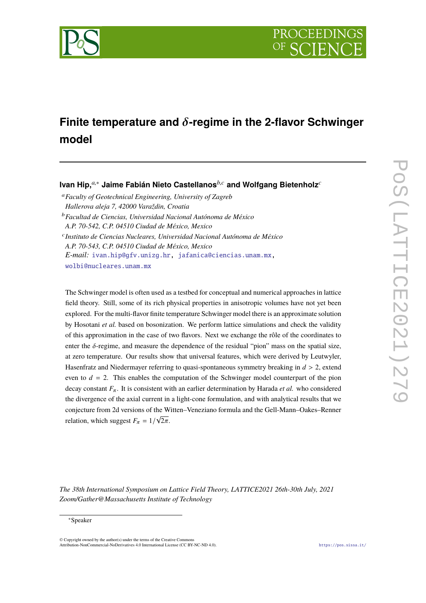

# **Finite temperature and** δ**-regime in the 2-flavor Schwinger model**

## **Ivan Hip,***a*,<sup>∗</sup> **Jaime Fabián Nieto Castellanos***b*,*<sup>c</sup>* **and Wolfgang Bietenholz***<sup>c</sup>*

<sup>a</sup>*Faculty of Geotechnical Engineering, University of Zagreb Hallerova aleja 7, 42000 Varaždin, Croatia* <sup>b</sup>*Facultad de Ciencias, Universidad Nacional Autónoma de México A.P. 70-542, C.P. 04510 Ciudad de México, Mexico* c *Instituto de Ciencias Nucleares, Universidad Nacional Autónoma de México A.P. 70-543, C.P. 04510 Ciudad de México, Mexico E-mail:* [ivan.hip@gfv.unizg.hr,](mailto:ivan.hip@gfv.unizg.hr) [jafanica@ciencias.unam.mx,](mailto:jafanica@ciencias.unam.mx) [wolbi@nucleares.unam.mx](mailto:wolbi@nucleares.unam.mx)

The Schwinger model is often used as a testbed for conceptual and numerical approaches in lattice field theory. Still, some of its rich physical properties in anisotropic volumes have not yet been explored. For the multi-flavor finite temperature Schwinger model there is an approximate solution by Hosotani *et al.* based on bosonization. We perform lattice simulations and check the validity of this approximation in the case of two flavors. Next we exchange the rôle of the coordinates to enter the  $\delta$ -regime, and measure the dependence of the residual "pion" mass on the spatial size, at zero temperature. Our results show that universal features, which were derived by Leutwyler, Hasenfratz and Niedermayer referring to quasi-spontaneous symmetry breaking in *<sup>d</sup>* > 2, extend even to  $d = 2$ . This enables the computation of the Schwinger model counterpart of the pion decay constant  $F_{\pi}$ . It is consistent with an earlier determination by Harada *et al.* who considered the divergence of the axial current in a light-cone formulation, and with analytical results that we conjecture from 2d versions of the Witten–Veneziano formula and the Gell-Mann–Oakes–Renner √ relation, which suggest  $F_{\pi} = 1/\sqrt{2\pi}$ .

*The 38th International Symposium on Lattice Field Theory, LATTICE2021 26th-30th July, 2021 Zoom/Gather@Massachusetts Institute of Technology*

#### <sup>∗</sup>Speaker

 $\odot$  Copyright owned by the author(s) under the terms of the Creative Common Attribution-NonCommercial-NoDerivatives 4.0 International License (CC BY-NC-ND 4.0). <https://pos.sissa.it/>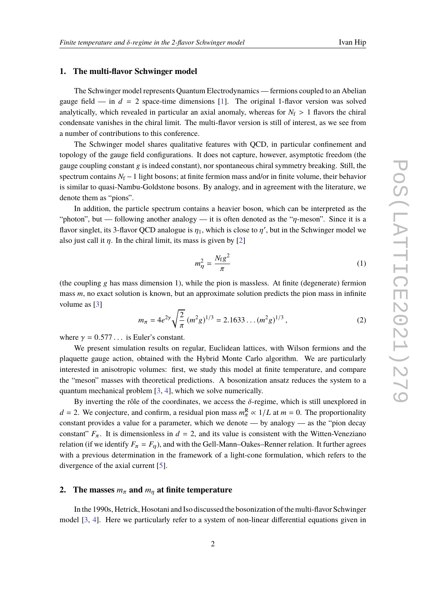#### **1. The multi-flavor Schwinger model**

The Schwinger model represents Quantum Electrodynamics — fermions coupled to an Abelian gauge field — in  $d = 2$  space-time dimensions [\[1\]](#page-7-0). The original 1-flavor version was solved analytically, which revealed in particular an axial anomaly, whereas for  $N_f > 1$  flavors the chiral condensate vanishes in the chiral limit. The multi-flavor version is still of interest, as we see from a number of contributions to this conference.

The Schwinger model shares qualitative features with QCD, in particular confinement and topology of the gauge field configurations. It does not capture, however, asymptotic freedom (the gauge coupling constant  $g$  is indeed constant), nor spontaneous chiral symmetry breaking. Still, the spectrum contains *N*<sub>f</sub> − 1 light bosons; at finite fermion mass and/or in finite volume, their behavior is similar to quasi-Nambu-Goldstone bosons. By analogy, and in agreement with the literature, we denote them as "pions".

In addition, the particle spectrum contains a heavier boson, which can be interpreted as the "photon", but — following another analogy — it is often denoted as the " $\eta$ -meson". Since it is a flavor singlet, its 3-flavor QCD analogue is  $\eta_1$ , which is close to  $\eta'$ , but in the Schwinger model we<br>also just sell it n. In the shired limit, its mess is given by [2] also just call it  $\eta$ . In the chiral limit, its mass is given by [\[2\]](#page-7-1)

<span id="page-1-1"></span>
$$
m_{\eta}^2 = \frac{N_{\rm f}g^2}{\pi} \tag{1}
$$

(the coupling g has mass dimension 1), while the pion is massless. At finite (degenerate) fermion mass *m*, no exact solution is known, but an approximate solution predicts the pion mass in infinite volume as [\[3\]](#page-7-2)

<span id="page-1-0"></span>
$$
m_{\pi} = 4e^{2\gamma} \sqrt{\frac{2}{\pi}} (m^2 g)^{1/3} = 2.1633 \dots (m^2 g)^{1/3}, \qquad (2)
$$

where  $\gamma = 0.577...$  is Euler's constant.

We present simulation results on regular, Euclidean lattices, with Wilson fermions and the plaquette gauge action, obtained with the Hybrid Monte Carlo algorithm. We are particularly interested in anisotropic volumes: first, we study this model at finite temperature, and compare the "meson" masses with theoretical predictions. A bosonization ansatz reduces the system to a quantum mechanical problem [\[3,](#page-7-2) [4\]](#page-7-3), which we solve numerically.

By inverting the rôle of the coordinates, we access the  $\delta$ -regime, which is still unexplored in  $d = 2$ . We conjecture, and confirm, a residual pion mass  $m_{\pi}^R \propto 1/L$  at  $m = 0$ . The proportionality constant provides a value for a parameter, which we denote — by analogy — as the "pion decay constant"  $F_{\pi}$ . It is dimensionless in  $d = 2$ , and its value is consistent with the Witten-Veneziano relation (if we identify  $F_{\pi} = F_n$ ), and with the Gell-Mann–Oakes–Renner relation. It further agrees with a previous determination in the framework of a light-cone formulation, which refers to the divergence of the axial current [\[5\]](#page-7-4).

### **2.** The masses  $m_{\pi}$  and  $m_{\eta}$  at finite temperature

In the 1990s, Hetrick, Hosotani and Iso discussed the bosonization of the multi-flavor Schwinger model [\[3,](#page-7-2) [4\]](#page-7-3). Here we particularly refer to a system of non-linear differential equations given in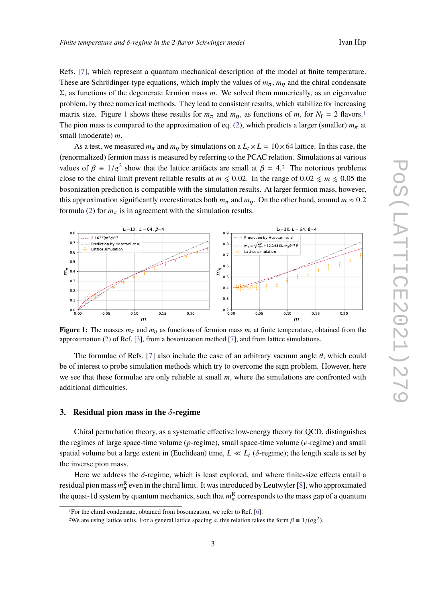Refs. [\[7\]](#page-8-0), which represent a quantum mechanical description of the model at finite temperature. These are Schrödinger-type equations, which imply the values of  $m_\pi$ ,  $m_\eta$  and the chiral condensate Σ, as functions of the degenerate fermion mass *m*. We solved them numerically, as an eigenvalue problem, by three numerical methods. They lead to consistent results, which stabilize for increasing matrix size. Figure [1](#page-2-1) shows these results for  $m_{\pi}$  and  $m_{\eta}$ , as functions of  $m$ , for  $N_f = 2$  flavors.<sup>1</sup> The pion mass is compared to the approximation of eq. [\(2\)](#page-1-0), which predicts a larger (smaller)  $m<sub>\pi</sub>$  at small (moderate) *m*.

As a test, we measured  $m_{\pi}$  and  $m_{\eta}$  by simulations on a  $L_t \times L = 10 \times 64$  lattice. In this case, the (renormalized) fermion mass is measured by referring to the PCAC relation. Simulations at various values of  $\beta \equiv 1/g^2$  $\beta \equiv 1/g^2$  show that the lattice artifacts are small at  $\beta = 4.2$  The notorious problems close to the chiral limit prevent reliable results at  $m \le 0.02$ . In the range of  $0.02 \le m \le 0.05$  the bosonization prediction is compatible with the simulation results. At larger fermion mass, however, this approximation significantly overestimates both  $m_\pi$  and  $m_\pi$ . On the other hand, around  $m \approx 0.2$ formula [\(2\)](#page-1-0) for  $m_{\pi}$  is in agreement with the simulation results.

<span id="page-2-0"></span>

**Figure 1:** The masses  $m_{\pi}$  and  $m_{\eta}$  as functions of fermion mass m, at finite temperature, obtained from the approximation [\(2\)](#page-1-0) of Ref. [\[3\]](#page-7-2), from a bosonization method [\[7\]](#page-8-0), and from lattice simulations.

The formulae of Refs. [\[7\]](#page-8-0) also include the case of an arbitrary vacuum angle  $\theta$ , which could be of interest to probe simulation methods which try to overcome the sign problem. However, here we see that these formulae are only reliable at small *m*, where the simulations are confronted with additional difficulties.

## **3. Residual pion mass in the** δ**-regime**

Chiral perturbation theory, as a systematic effective low-energy theory for QCD, distinguishes the regimes of large space-time volume ( $p$ -regime), small space-time volume ( $\epsilon$ -regime) and small spatial volume but a large extent in (Euclidean) time,  $L \ll L_t$  ( $\delta$ -regime); the length scale is set by the inverse pion mass.

Here we address the  $\delta$ -regime, which is least explored, and where finite-size effects entail a residual pion mass  $m_\pi^\text{R}$  even in the chiral limit. It was introduced by Leutwyler [\[8\]](#page-8-1), who approximated the quasi-1d system by quantum mechanics, such that  $m_{\pi}^{R}$  corresponds to the mass gap of a quantum

<span id="page-2-1"></span><sup>1</sup>For the chiral condensate, obtained from bosonization, we refer to Ref. [\[6\]](#page-7-5).

<span id="page-2-2"></span><sup>&</sup>lt;sup>2</sup>We are using lattice units. For a general lattice spacing *a*, this relation takes the form  $\beta \equiv 1/(a g^2)$ .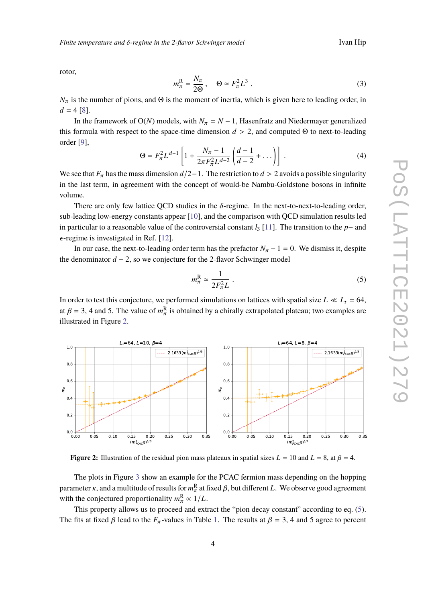rotor,

$$
m_{\pi}^{\mathcal{R}} = \frac{N_{\pi}}{2\Theta}, \quad \Theta \simeq F_{\pi}^2 L^3 \ . \tag{3}
$$

 $N_{\pi}$  is the number of pions, and  $\Theta$  is the moment of inertia, which is given here to leading order, in  $d = 4 \, [8]$  $d = 4 \, [8]$ .

In the framework of  $O(N)$  models, with  $N_\pi = N - 1$ , Hasenfratz and Niedermayer generalized this formula with respect to the space-time dimension  $d > 2$ , and computed  $\Theta$  to next-to-leading order [\[9\]](#page-8-2),

$$
\Theta = F_{\pi}^{2} L^{d-1} \left[ 1 + \frac{N_{\pi} - 1}{2\pi F_{\pi}^{2} L^{d-2}} \left( \frac{d-1}{d-2} + \dots \right) \right] . \tag{4}
$$

We see that  $F_{\pi}$  has the mass dimension  $d/2-1$ . The restriction to  $d > 2$  avoids a possible singularity in the lect term, in accompany with the concentrational be Newby Coldstone because in infinite in the last term, in agreement with the concept of would-be Nambu-Goldstone bosons in infinite volume.

There are only few lattice QCD studies in the  $\delta$ -regime. In the next-to-next-to-leading order, sub-leading low-energy constants appear [\[10\]](#page-8-3), and the comparison with QCD simulation results led in particular to a reasonable value of the controversial constant  $l_3$  [\[11\]](#page-8-4). The transition to the *p*− and  $\epsilon$ -regime is investigated in Ref. [\[12\]](#page-8-5).

In our case, the next-to-leading order term has the prefactor  $N_\pi - 1 = 0$ . We dismiss it, despite the denominator *d* − 2, so we conjecture for the 2-flavor Schwinger model

<span id="page-3-1"></span>
$$
m_{\pi}^{\rm R} \simeq \frac{1}{2F_{\pi}^2 L} \ . \tag{5}
$$

In order to test this conjecture, we performed simulations on lattices with spatial size  $L \ll L_t = 64$ , at  $\beta = 3$ , 4 and 5. The value of  $m_{\pi}^{\rm R}$  is obtained by a chirally extrapolated plateau; two examples are<br>illustrated in Figure 2. illustrated in Figure [2.](#page-3-0)

<span id="page-3-0"></span>

**Figure 2:** Illustration of the residual pion mass plateaux in spatial sizes  $L = 10$  and  $L = 8$ , at  $\beta = 4$ .

The plots in Figure [3](#page-4-0) show an example for the PCAC fermion mass depending on the hopping parameter κ, and a multitude of results for  $m_{\pi}^{R}$  at fixed β, but different *L*. We observe good agreement<br>with the conjectured agreemionality  $m_{\pi}^{R}$  at 1/*L* with the conjectured proportionality  $m_{\pi}^{\rm R} \propto 1/L$ .<br>This generate allows us to general and anti-

This property allows us to proceed and extract the "pion decay constant" according to eq. [\(5\)](#page-3-1). The fits at fixed  $\beta$  lead to the  $F_{\pi}$ -values in Table [1.](#page-4-1) The results at  $\beta = 3$ , 4 and 5 agree to percent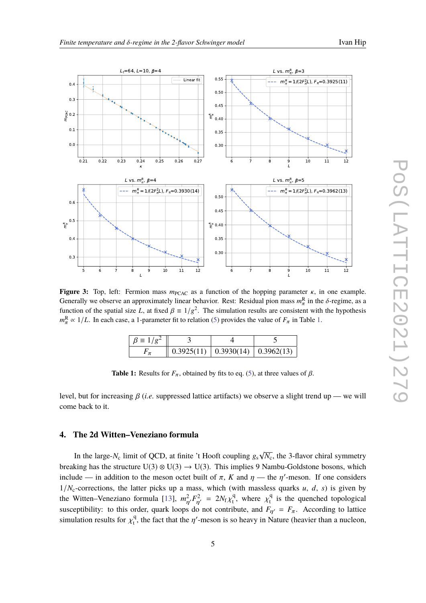<span id="page-4-0"></span>

<span id="page-4-1"></span>**Figure 3:** Top, left: Fermion mass  $m<sub>PCAC</sub>$  as a function of the hopping parameter κ, in one example. Generally we observe an approximately linear behavior. Rest: Residual pion mass  $m_{\pi}^R$  in the  $\delta$ -regime, as a function of the spatial size  $L$  at fixed  $\beta = 1/a^2$ . The simulation results are consistent with the hypot function of the spatial size *L*, at fixed  $\beta = 1/g^2$ . The simulation results are consistent with the hypothesis  $m^R \approx 1/I$ . In seek esse a 1 normator fit to relation (5) provides the value of *E* in Table 1.  $m_{\pi}^{\rm R} \propto 1/L$ . In each case, a 1-parameter fit to relation [\(5\)](#page-3-1) provides the value of  $F_{\pi}$  in Table [1.](#page-4-1)

| $\beta \equiv 1/g^2$ |                                      |  |
|----------------------|--------------------------------------|--|
|                      | 0.3925(11)   0.3930(14)   0.3962(13) |  |
|                      |                                      |  |

**Table 1:** Results for  $F_\pi$ , obtained by fits to eq. [\(5\)](#page-3-1), at three values of  $\beta$ .

level, but for increasing β (*i.e.* suppressed lattice artifacts) we observe a slight trend up — we will come back to it.

## **4. The 2d Witten–Veneziano formula**

In the large- $N_c$  limit of QCD, at finite 't Hooft coupling  $g_s$ √  $\overline{N_c}$ , the 3-flavor chiral symmetry breaking has the structure  $U(3) \otimes U(3) \rightarrow U(3)$ . This implies 9 Nambu-Goldstone bosons, which include — in addition to the meson octet built of  $\pi$ ,  $K$  and  $\eta$  — the  $\eta'$ -meson. If one considers  $1/N_c$ -corrections, the latter picks up a mass, which (with massless quarks *u*, *d*, *s*) is given by the Witten–Veneziano formula [\[13\]](#page-8-6),  $m_{\eta'}^2 F_{\eta'}^2 = 2N_f \chi_t^4$ <br>susceptibility to this order, such loops do not contribute  $\chi_t^q$ , where  $\chi_t^q$  $t_i^q$  is the quenched topological susceptibility: to this order, quark loops do not contribute, and  $F_{\eta'} = F_{\pi}$ . According to lattice simulation results for  $\chi_t^q$  $t<sub>t</sub><sup>q</sup>$ , the fact that the  $\eta'$ -meson is so heavy in Nature (heavier than a nucleon,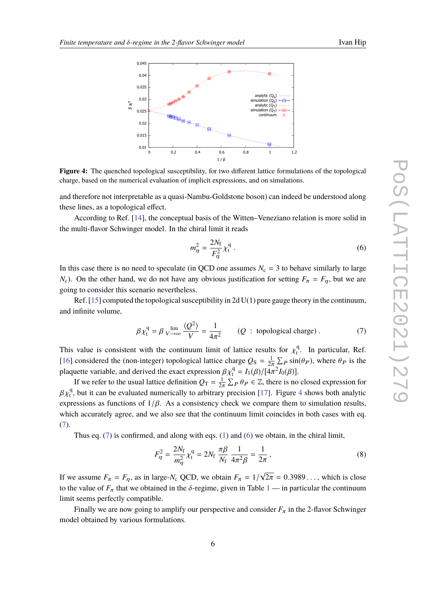<span id="page-5-0"></span>

**Figure 4:** The quenched topological susceptibility, for two different lattice formulations of the topological charge, based on the numerical evaluation of implicit expressions, and on simulations.

and therefore not interpretable as a quasi-Nambu-Goldstone boson) can indeed be understood along these lines, as a topological effect.

According to Ref. [\[14\]](#page-8-7), the conceptual basis of the Witten–Veneziano relation is more solid in the multi-flavor Schwinger model. In the chiral limit it reads

<span id="page-5-2"></span>
$$
m_{\eta}^2 = \frac{2N_{\rm f}}{F_{\eta}^2} \chi_{\rm t}^{\rm q} \,. \tag{6}
$$

In this case there is no need to speculate (in QCD one assumes  $N_c = 3$  to behave similarly to large *N*<sub>c</sub>). On the other hand, we do not have any obvious justification for setting  $F_\pi = F_n$ , but we are going to consider this scenario nevertheless.

Ref.  $[15]$  computed the topological susceptibility in 2d U(1) pure gauge theory in the continuum, and infinite volume,

<span id="page-5-1"></span>
$$
\beta \chi_{t}^{q} = \beta \lim_{V \to \infty} \frac{\langle Q^{2} \rangle}{V} = \frac{1}{4\pi^{2}} \qquad (Q \text{ : topological charge}). \tag{7}
$$

This value is consistent with the continuum limit of lattice results for  $\chi_t^q$  $t<sup>q</sup>$ . In particular, Ref. [\[16\]](#page-8-9) considered the (non-integer) topological lattice charge  $Q_S = \frac{1}{2\pi} \sum_P \sin(\theta_P)$ , where  $\theta_P$  is the plaquette variable, and derived the exact expression  $\beta \chi_1^q = I_1(\beta) / [4\pi^2 I_0(\beta)]$ .<br>
If we asset to the wavel lettice definition  $\beta = \frac{1}{\Sigma} \sum_{n=0}^{\infty} \beta_n \in \mathbb{Z}$  there is no

If we refer to the usual lattice definition  $Q_T = \frac{1}{2\pi} \sum_P \theta_P \in \mathbb{Z}$ , there is no closed expression for the it can be evaluated pureoriselly to exhiteness procession [17]. Figure 4 change hath evaluated If we refer to the usual fattice definition  $g_1 - 2\pi \angle P \circ P \subseteq \mathbb{Z}$ , there is no closed expression for  $\beta \chi_t^q$ , but it can be evaluated numerically to arbitrary precision [\[17\]](#page-8-10). Figure [4](#page-5-0) shows both analytic expressions as functions of  $1/\beta$ . As a consistency check we compare them to simulation results, which accurately agree, and we also see that the continuum limit coincides in both cases with eq. [\(7\)](#page-5-1).

Thus eq.  $(7)$  is confirmed, and along with eqs.  $(1)$  and  $(6)$  we obtain, in the chiral limit,

$$
F_{\eta}^{2} = \frac{2N_{\rm f}}{m_{\eta}^{2}} \chi_{\rm t}^{q} = 2N_{\rm f} \frac{\pi \beta}{N_{\rm f}} \frac{1}{4\pi^{2} \beta} = \frac{1}{2\pi} \,, \tag{8}
$$

If we assume  $F_{\pi} = F_{\eta}$ , as in large- $N_c$  QCD, we obtain  $F_{\pi} = 1/2$ √  $2\pi = 0.3989...$ , which is close to the value of  $F_{\pi}$  that we obtained in the  $\delta$ -regime, given in Table [1](#page-4-1) — in particular the continuum limit seems perfectly compatible.

Finally we are now going to amplify our perspective and consider  $F_{\pi}$  in the 2-flavor Schwinger model obtained by various formulations.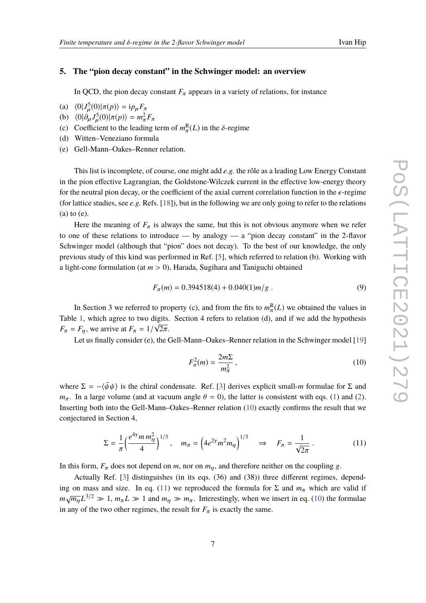## **5. The "pion decay constant" in the Schwinger model: an overview**

In QCD, the pion decay constant  $F_{\pi}$  appears in a variety of relations, for instance

- (a)  $\langle 0 | J^5_\mu(0) | \pi(p) \rangle = i p_\mu F_\pi$ <br>(b)  $\langle 0 | 3 \nabla^5(0) | \pi(r) \rangle = m^2$
- (b)  $\langle 0 | \partial_{\mu} J_{\mu}^{5} (0) | \pi(p) \rangle = m_{\pi}^{2} F_{\pi}$ <br>(c) Coefficient to the loading
- (c) Coefficient to the leading term of  $m_{\pi}^{R}(L)$  in the  $\delta$ -regime
- (d) Witten–Veneziano formula
- (e) Gell-Mann–Oakes–Renner relation.

This list is incomplete, of course, one might add *e.g.* the rôle as a leading Low Energy Constant in the pion effective Lagrangian, the Goldstone-Wilczek current in the effective low-energy theory for the neutral pion decay, or the coefficient of the axial current correlation function in the  $\epsilon$ -regime (for lattice studies, see *e.g.* Refs. [\[18\]](#page-8-11)), but in the following we are only going to refer to the relations (a) to (e).

Here the meaning of  $F_{\pi}$  is always the same, but this is not obvious anymore when we refer to one of these relations to introduce — by analogy — a "pion decay constant" in the 2-flavor Schwinger model (although that "pion" does not decay). To the best of our knowledge, the only previous study of this kind was performed in Ref. [\[5\]](#page-7-4), which referred to relation (b). Working with a light-cone formulation (at  $m > 0$ ), Harada, Sugihara and Taniguchi obtained

$$
F_{\pi}(m) = 0.394518(4) + 0.040(1)m/g
$$
 (9)

In Section 3 we referred to property (c), and from the fits to  $m_{\pi}^{R}(L)$  we obtained the values in Table [1,](#page-4-1) which agree to two digits. Section 4 refers to relation (d), and if we add the hypothesis  $F_{\pi} = F_{\eta}$ , we arrive at  $F_{\pi} = 1/\sqrt{2\pi}$ .

Let us finally consider (e), the Gell-Mann–Oakes–Renner relation in the Schwinger model [\[19\]](#page-8-12)

<span id="page-6-0"></span>
$$
F_{\pi}^2(m) = \frac{2m\Sigma}{m_{\pi}^2},\qquad(10)
$$

where  $\Sigma = -\langle \bar{\psi}\psi \rangle$  is the chiral condensate. Ref. [\[3\]](#page-7-2) derives explicit small-*m* formulae for  $\Sigma$  and *m*<sub>π</sub>. In a large volume (and at vacuum angle  $\theta = 0$ ), the latter is consistent with eqs. [\(1\)](#page-1-1) and [\(2\)](#page-1-0). Inserting both into the Gell-Mann–Oakes–Renner relation [\(10\)](#page-6-0) exactly confirms the result that we conjectured in Section 4,

<span id="page-6-1"></span>
$$
\Sigma = \frac{1}{\pi} \left( \frac{e^{4\gamma} m m_{\eta}^2}{4} \right)^{1/3}, \quad m_{\pi} = \left( 4e^{2\gamma} m^2 m_{\eta} \right)^{1/3} \quad \Rightarrow \quad F_{\pi} = \frac{1}{\sqrt{2\pi}} \,. \tag{11}
$$

In this form,  $F_{\pi}$  does not depend on *m*, nor on  $m_{\eta}$ , and therefore neither on the coupling g.

Actually Ref. [\[3\]](#page-7-2) distinguishes (in its eqs. (36) and (38)) three different regimes, depend-ing on mass and size. In eq. [\(11\)](#page-6-1) we reproduced the formula for  $\Sigma$  and  $m_\pi$  which are valid if  $m\sqrt{m_{\eta}}L^{3/2} \gg 1$ ,  $m_{\pi}L \gg 1$  and  $m_{\eta} \gg m_{\pi}$ . Interestingly, when we insert in eq. [\(10\)](#page-6-0) the formulae in any of the two other regimes, the result for  $F_{\pi}$  is exactly the same.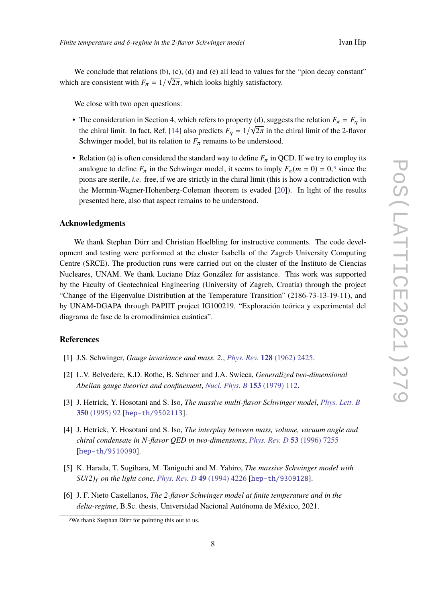We conclude that relations (b), (c), (d) and (e) all lead to values for the "pion decay constant" which are consistent with  $F_{\pi} = 1/\sqrt{2\pi}$ , which looks highly satisfactory.

We close with two open questions:

- The consideration in Section 4, which refers to property (d), suggests the relation  $F_{\pi} = F_{\eta}$  in the chiral limit. In fact, Ref. [\[14\]](#page-8-7) also predicts  $F_\eta = 1/\sqrt{2\pi}$  in the chiral limit of the 2-flavor<br>Sehvinger model, but its relation to E, remains to be understood. Schwinger model, but its relation to  $F_{\pi}$  remains to be understood.
- Relation (a) is often considered the standard way to define  $F_\pi$  in QCD. If we try to employ its analogue to define  $F_{\pi}$  in the Schwinger model, it seems to imply  $F_{\pi}(m = 0) = 0$ ,<sup>[3](#page-7-6)</sup> since the pions are sterile, *i.e.* free, if we are strictly in the chiral limit (this is how a contradiction with the Mermin-Wagner-Hohenberg-Coleman theorem is evaded [\[20\]](#page-8-13)). In light of the results presented here, also that aspect remains to be understood.

#### **Acknowledgments**

We thank Stephan Dürr and Christian Hoelbling for instructive comments. The code development and testing were performed at the cluster Isabella of the Zagreb University Computing Centre (SRCE). The production runs were carried out on the cluster of the Instituto de Ciencias Nucleares, UNAM. We thank Luciano Díaz González for assistance. This work was supported by the Faculty of Geotechnical Engineering (University of Zagreb, Croatia) through the project "Change of the Eigenvalue Distribution at the Temperature Transition" (2186-73-13-19-11), and by UNAM-DGAPA through PAPIIT project IG100219, "Exploración teórica y experimental del diagrama de fase de la cromodinámica cuántica".

## **References**

- <span id="page-7-0"></span>[1] J.S. Schwinger, *Gauge invariance and mass. 2.*, *Phys. Rev.* **128** [\(1962\) 2425.](https://doi.org/10.1103/PhysRev.128.2425)
- <span id="page-7-1"></span>[2] L.V. Belvedere, K.D. Rothe, B. Schroer and J.A. Swieca, *Generalized two-dimensional Abelian gauge theories and confinement*, *[Nucl. Phys. B](https://doi.org/10.1016/0550-3213(79)90594-7)* **153** (1979) 112.
- <span id="page-7-2"></span>[3] J. Hetrick, Y. Hosotani and S. Iso, *The massive multi-flavor Schwinger model*, *[Phys. Lett. B](https://doi.org/10.1016/0370-2693(95)00310-H)* **350** [\(1995\) 92](https://doi.org/10.1016/0370-2693(95)00310-H) [[hep-th/9502113](https://arxiv.org/abs/hep-th/9502113)].
- <span id="page-7-3"></span>[4] J. Hetrick, Y. Hosotani and S. Iso, *The interplay between mass, volume, vacuum angle and chiral condensate in N-flavor QED in two-dimensions*, *[Phys. Rev. D](https://doi.org/10.1103/PhysRevD.53.7255)* **53** (1996) 7255 [[hep-th/9510090](https://arxiv.org/abs/hep-th/9510090)].
- <span id="page-7-4"></span>[5] K. Harada, T. Sugihara, M. Taniguchi and M. Yahiro, *The massive Schwinger model with SU(2)*<sup>f</sup> *on the light cone*, *[Phys. Rev. D](https://doi.org/10.1103/PhysRevD.49.4226)* **49** (1994) 4226 [[hep-th/9309128](https://arxiv.org/abs/hep-th/9309128)].
- <span id="page-7-5"></span>[6] J. F. Nieto Castellanos, *The 2-flavor Schwinger model at finite temperature and in the delta-regime*, B.Sc. thesis, Universidad Nacional Autónoma de México, 2021.

<span id="page-7-6"></span><sup>3</sup>We thank Stephan Dürr for pointing this out to us.